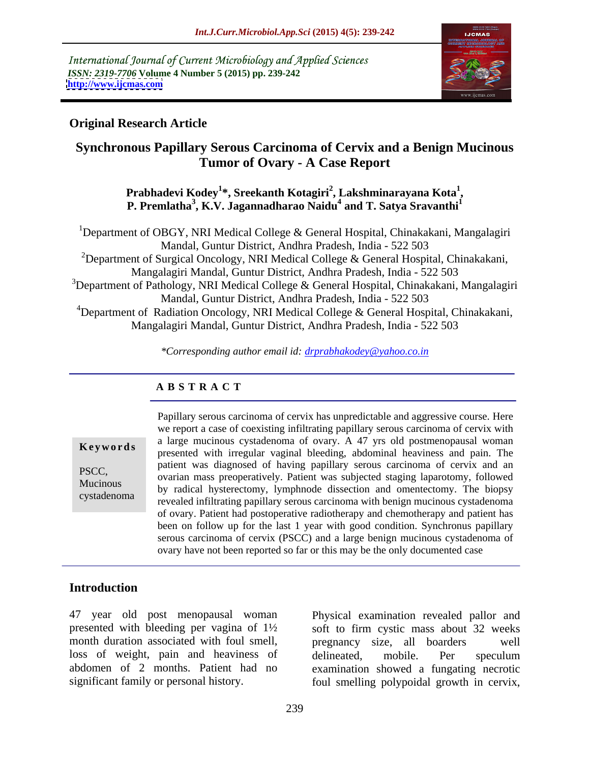International Journal of Current Microbiology and Applied Sciences *ISSN: 2319-7706* **Volume 4 Number 5 (2015) pp. 239-242 <http://www.ijcmas.com>**



### **Original Research Article**

# **Synchronous Papillary Serous Carcinoma of Cervix and a Benign Mucinous Tumor of Ovary - A Case Report**

**Prabhadevi Kodey<sup>1</sup> \*, Sreekanth Kotagiri<sup>2</sup> , Lakshminarayana Kota<sup>1</sup>** Prabhadevi Kodey<sup>1</sup>\*, Sreekanth Kotagiri<sup>2</sup>, Lakshminarayana Kota<sup>1</sup>,<br>P. Premlatha<sup>3</sup>, K.V. Jagannadharao Naidu<sup>4</sup> and T. Satya Sravanthi<sup>1</sup> **and T. Satya Sravanthi<sup>1</sup>**

<sup>1</sup>Department of OBGY, NRI Medical College & General Hospital, Chinakakani, Mangalagiri Mandal, Guntur District, Andhra Pradesh, India - 522 503 <sup>2</sup>Department of Surgical Oncology, NRI Medical College & General Hospital, Chinakakani, Mangalagiri Mandal, Guntur District, Andhra Pradesh, India - 522 503 <sup>3</sup>Department of Pathology, NRI Medical College & General Hospital, Chinakakani, Mangalagiri Mandal, Guntur District, Andhra Pradesh, India - 522 503 <sup>4</sup>Department of Radiation Oncology, NRI Medical College & General Hospital, Chinakakani, Mangalagiri Mandal, Guntur District, Andhra Pradesh, India - 522 503

*\*Corresponding author email id: drprabhakodey@yahoo.co.in*

#### **A B S T R A C T**

cystadenoma

Papillary serous carcinoma of cervix has unpredictable and aggressive course. Here we report a case of coexisting infiltrating papillary serous carcinoma of cervix with a large mucinous cystadenoma of ovary. A 47 yrs old postmenopausal woman **Keywords** a large machinest systatement of ovary. A 47 yrs old postmenopalisal woman presented with irregular vaginal bleeding, abdominal heaviness and pain. The patient was diagnosed of having papillary serous carcinoma of cervix and an patient was diagnosed of having papinary serous carefronta of cervix and an<br>ovarian mass preoperatively. Patient was subjected staging laparotomy, followed Mucinous<br>by radical hysterectomy, lymphnode dissection and omentectomy. The biopsy revealed infiltrating papillary serous carcinoma with benign mucinous cystadenoma of ovary. Patient had postoperative radiotherapy and chemotherapy and patient has been on follow up for the last 1 year with good condition. Synchronus papillary serous carcinoma of cervix (PSCC) and a large benign mucinous cystadenoma of ovary have not been reported so far or this may be the only documented case

#### **Introduction**

47 year old post menopausal woman Physical examination revealed pallor and month duration associated with foul smell, being pregnancy size, all boarders well loss of weight, pain and heaviness of delineated, mobile. Per speculum

presented with bleeding per vagina of 1½ soft to firm cystic mass about 32 weeks abdomen of 2 months. Patient had no examination showed a fungating necrotic significant family or personal history. foul smelling polypoidal growth in cervix, pregnancy size, all boarders delineated, mobile. Per speculum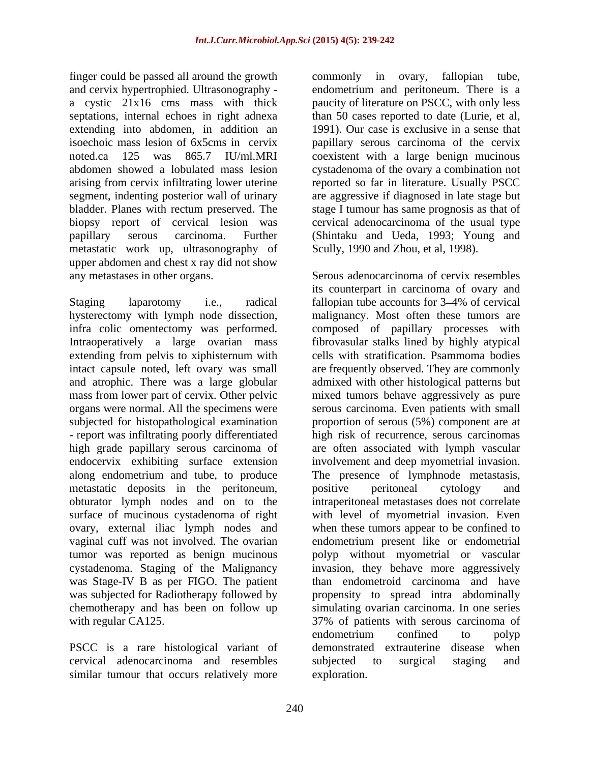finger could be passed all around the growth commonly in ovary, fallopian tube, and cervix hypertrophied. Ultrasonography a cystic 21x16 cms mass with thick paucity of literature on PSCC, with only less septations, internal echoes in right adnexa than 50 cases reported to date (Lurie, et al, extending into abdomen, in addition an isoechoic mass lesion of 6x5cms in cervix papillary serous carcinoma of the cervix noted.ca 125 was 865.7 IU/ml.MRI coexistent with a large benign mucinous abdomen showed a lobulated mass lesion cystadenoma of the ovary a combination not arising from cervix infiltrating lower uterine reported so far in literature. Usually PSCC segment, indenting posterior wall of urinary are aggressive if diagnosed in late stage but bladder. Planes with rectum preserved. The stage I tumour has same prognosis as that of biopsy report of cervical lesion was cervical adenocarcinoma of the usual type papillary serous carcinoma. Further (Shintaku and Ueda, 1993; Young and metastatic work up, ultrasonography of Scully, 1990 and Zhou, et al, 1998). upper abdomen and chest x ray did not show any metastases in other organs.

hysterectomy with lymph node dissection, intact capsule noted, left ovary was small mass from lower part of cervix. Other pelvic - report was infiltrating poorly differentiated metastatic deposits in the peritoneum, positive peritoneal cytology and obturator lymph nodes and on to the surface of mucinous cystadenoma of right ovary, external iliac lymph nodes and

PSCC is a rare histological variant of cervical adenocarcinoma and resembles similar tumour that occurs relatively more

commonly in ovary, fallopian tube, endometrium and peritoneum. There is a 1991). Our case is exclusive in a sense that Scully, 1990 and Zhou, et al, 1998). Serous adenocarcinoma of cervix resembles

Staging laparotomy i.e., radical fallopian tube accounts for 3–4% of cervical infra colic omentectomy was performed. composed of papillary processes with Intraoperatively a large ovarian mass fibrovasular stalks lined by highly atypical extending from pelvis to xiphisternum with cells with stratification. Psammoma bodies and atrophic. There was a large globular admixed with other histological patterns but organs were normal. All the specimens were serous carcinoma. Even patients with small subjected for histopathological examination proportion of serous (5%) component are at high grade papillary serous carcinoma of are often associated with lymph vascular endocervix exhibiting surface extension involvement and deep myometrial invasion. along endometrium and tube, to produce The presence of lymphnode metastasis, vaginal cuff was not involved. The ovarian endometrium present like or endometrial tumor was reported as benign mucinous polyp without myometrial or vascular cystadenoma. Staging of the Malignancy invasion, they behave more aggressively was Stage-IV B as per FIGO. The patient than endometroid carcinoma and have was subjected for Radiotherapy followed by propensity to spread intra abdominally chemotherapy and has been on follow up simulating ovarian carcinoma. In one series with regular CA125. The 37% of patients with serous carcinoma of its counterpart in carcinoma of ovary and malignancy. Most often these tumors are are frequently observed. They are commonly mixed tumors behave aggressively as pure high risk of recurrence, serous carcinomas positive peritoneal cytology and intraperitoneal metastases does not correlate with level of myometrial invasion. Even when these tumors appear to be confined to endometrium confined to polyp demonstrated extrauterine disease when subjected to surgical staging and exploration.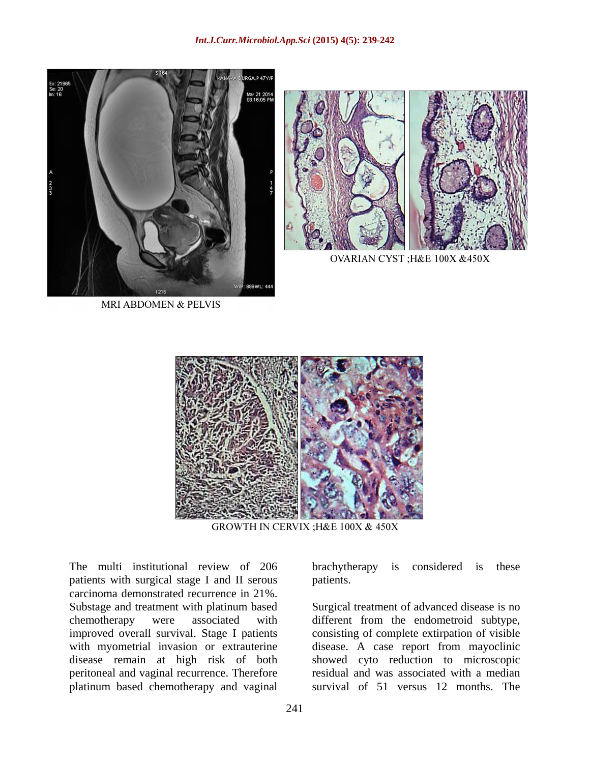



OVARIAN CYST ; H&E 100X &450X

MRI ABDOMEN & PELVIS



GROWTH IN CERVIX ; H&E 100X & 450X

The multi institutional review of 206 brachytherapy is considered is these patients with surgical stage I and II serous patients. patients with surgical stage I and II serous carcinoma demonstrated recurrence in 21%. Substage and treatment with platinum based Surgical treatment of advanced disease is no chemotherapy were associated with different from the endometroid subtype, improved overall survival. Stage I patients consisting of complete extirpation of visible with myometrial invasion or extrauterine disease. A case report from mayoclinic disease remain at high risk of both peritoneal and vaginal recurrence.Therefore residual and was associated with a median platinum based chemotherapy and vaginal

brachytherapy is considered is these patients.

showed cyto reduction to microscopic survival of 51 versus 12 months. The